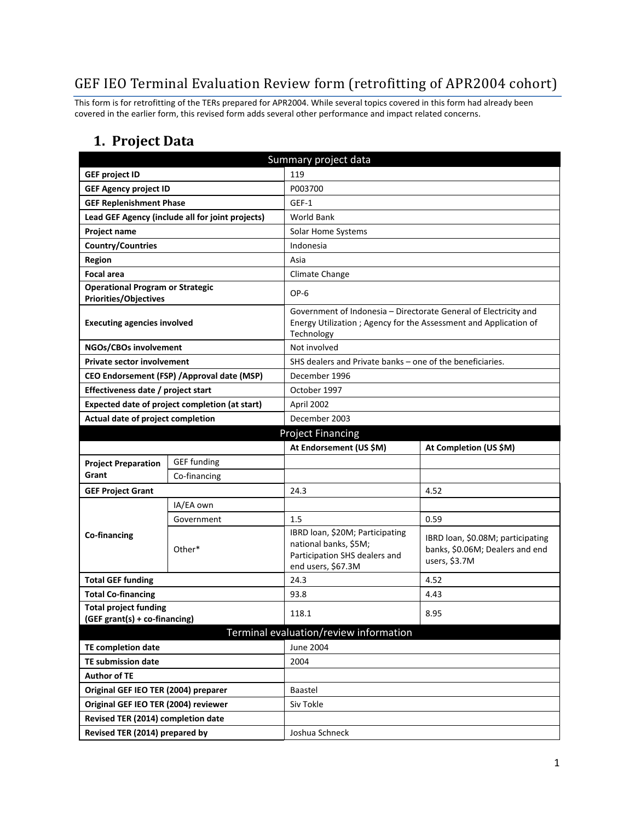## GEF IEO Terminal Evaluation Review form (retrofitting of APR2004 cohort)

This form is for retrofitting of the TERs prepared for APR2004. While several topics covered in this form had already been covered in the earlier form, this revised form adds several other performance and impact related concerns.

#### **1. Project Data**

| Summary project data                        |                                                  |                                                                                 |                                   |  |  |
|---------------------------------------------|--------------------------------------------------|---------------------------------------------------------------------------------|-----------------------------------|--|--|
| <b>GEF project ID</b>                       |                                                  | 119                                                                             |                                   |  |  |
| <b>GEF Agency project ID</b>                |                                                  | P003700                                                                         |                                   |  |  |
| <b>GEF Replenishment Phase</b>              |                                                  | GEF-1                                                                           |                                   |  |  |
|                                             | Lead GEF Agency (include all for joint projects) | <b>World Bank</b>                                                               |                                   |  |  |
| Project name                                |                                                  | Solar Home Systems                                                              |                                   |  |  |
| <b>Country/Countries</b>                    |                                                  | Indonesia                                                                       |                                   |  |  |
| <b>Region</b>                               |                                                  | Asia                                                                            |                                   |  |  |
| <b>Focal area</b>                           |                                                  | Climate Change                                                                  |                                   |  |  |
| <b>Operational Program or Strategic</b>     |                                                  | OP-6                                                                            |                                   |  |  |
| <b>Priorities/Objectives</b>                |                                                  |                                                                                 |                                   |  |  |
| <b>Executing agencies involved</b>          |                                                  | Government of Indonesia - Directorate General of Electricity and                |                                   |  |  |
|                                             |                                                  | Energy Utilization ; Agency for the Assessment and Application of<br>Technology |                                   |  |  |
| NGOs/CBOs involvement                       |                                                  | Not involved                                                                    |                                   |  |  |
| <b>Private sector involvement</b>           |                                                  | SHS dealers and Private banks – one of the beneficiaries.                       |                                   |  |  |
| CEO Endorsement (FSP) / Approval date (MSP) |                                                  | December 1996                                                                   |                                   |  |  |
| Effectiveness date / project start          |                                                  | October 1997                                                                    |                                   |  |  |
|                                             | Expected date of project completion (at start)   | April 2002                                                                      |                                   |  |  |
| Actual date of project completion           |                                                  | December 2003                                                                   |                                   |  |  |
|                                             |                                                  | <b>Project Financing</b>                                                        |                                   |  |  |
|                                             |                                                  | At Endorsement (US \$M)                                                         | At Completion (US \$M)            |  |  |
| <b>Project Preparation</b>                  | <b>GEF</b> funding                               |                                                                                 |                                   |  |  |
| Grant                                       | Co-financing                                     |                                                                                 |                                   |  |  |
| <b>GEF Project Grant</b>                    |                                                  | 24.3                                                                            | 4.52                              |  |  |
|                                             | IA/EA own                                        |                                                                                 |                                   |  |  |
|                                             | Government                                       | 1.5                                                                             | 0.59                              |  |  |
| Co-financing                                |                                                  | IBRD loan, \$20M; Participating                                                 | IBRD loan, \$0.08M; participating |  |  |
|                                             | Other*                                           | national banks, \$5M;<br>Participation SHS dealers and                          | banks, \$0.06M; Dealers and end   |  |  |
|                                             |                                                  | end users, \$67.3M                                                              | users, \$3.7M                     |  |  |
| <b>Total GEF funding</b>                    |                                                  | 24.3                                                                            | 4.52                              |  |  |
| <b>Total Co-financing</b>                   |                                                  | 93.8                                                                            | 4.43                              |  |  |
| <b>Total project funding</b>                |                                                  | 118.1                                                                           | 8.95                              |  |  |
| (GEF grant(s) + co-financing)               |                                                  |                                                                                 |                                   |  |  |
| Terminal evaluation/review information      |                                                  |                                                                                 |                                   |  |  |
| <b>TE completion date</b>                   |                                                  | June 2004                                                                       |                                   |  |  |
| <b>TE submission date</b>                   |                                                  | 2004                                                                            |                                   |  |  |
| <b>Author of TE</b>                         |                                                  |                                                                                 |                                   |  |  |
| Original GEF IEO TER (2004) preparer        |                                                  | Baastel                                                                         |                                   |  |  |
| Original GEF IEO TER (2004) reviewer        |                                                  | Siv Tokle                                                                       |                                   |  |  |
| Revised TER (2014) completion date          |                                                  |                                                                                 |                                   |  |  |
| Revised TER (2014) prepared by              |                                                  | Joshua Schneck                                                                  |                                   |  |  |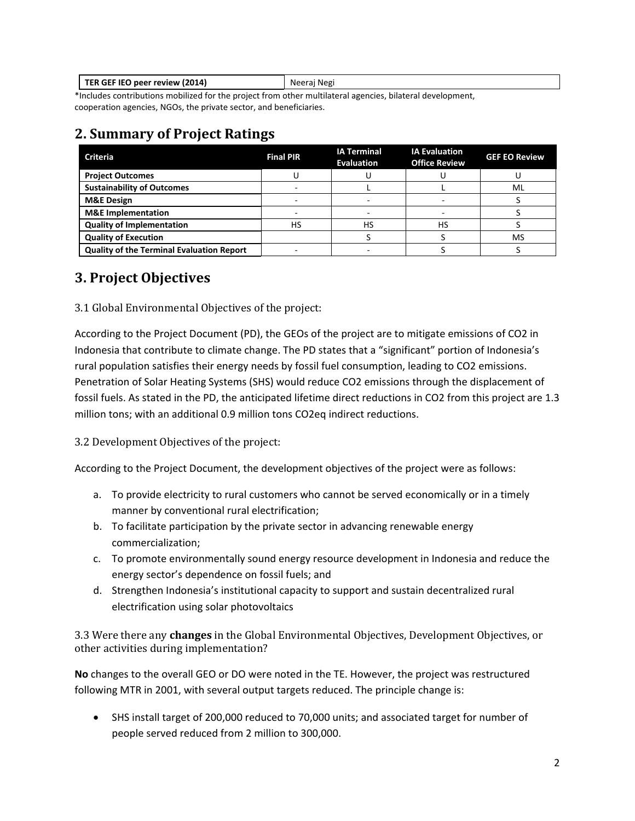| TER GEF IEO peer review (2014) | Neerai Negi |
|--------------------------------|-------------|
|                                |             |

\*Includes contributions mobilized for the project from other multilateral agencies, bilateral development, cooperation agencies, NGOs, the private sector, and beneficiaries.

### **2. Summary of Project Ratings**

| <b>Criteria</b>                                  | <b>Final PIR</b> | <b>IA Terminal</b><br><b>Evaluation</b> | <b>IA Evaluation</b><br><b>Office Review</b> | <b>GEF EO Review</b> |
|--------------------------------------------------|------------------|-----------------------------------------|----------------------------------------------|----------------------|
| <b>Project Outcomes</b>                          |                  |                                         |                                              |                      |
| <b>Sustainability of Outcomes</b>                |                  |                                         |                                              | ML                   |
| <b>M&amp;E Design</b>                            |                  |                                         |                                              |                      |
| <b>M&amp;E</b> Implementation                    |                  |                                         |                                              |                      |
| <b>Quality of Implementation</b>                 | HS               | HS                                      | HS                                           |                      |
| <b>Quality of Execution</b>                      |                  |                                         |                                              | MS                   |
| <b>Quality of the Terminal Evaluation Report</b> |                  |                                         |                                              |                      |

## **3. Project Objectives**

3.1 Global Environmental Objectives of the project:

According to the Project Document (PD), the GEOs of the project are to mitigate emissions of CO2 in Indonesia that contribute to climate change. The PD states that a "significant" portion of Indonesia's rural population satisfies their energy needs by fossil fuel consumption, leading to CO2 emissions. Penetration of Solar Heating Systems (SHS) would reduce CO2 emissions through the displacement of fossil fuels. As stated in the PD, the anticipated lifetime direct reductions in CO2 from this project are 1.3 million tons; with an additional 0.9 million tons CO2eq indirect reductions.

3.2 Development Objectives of the project:

According to the Project Document, the development objectives of the project were as follows:

- a. To provide electricity to rural customers who cannot be served economically or in a timely manner by conventional rural electrification;
- b. To facilitate participation by the private sector in advancing renewable energy commercialization;
- c. To promote environmentally sound energy resource development in Indonesia and reduce the energy sector's dependence on fossil fuels; and
- d. Strengthen Indonesia's institutional capacity to support and sustain decentralized rural electrification using solar photovoltaics

3.3 Were there any **changes** in the Global Environmental Objectives, Development Objectives, or other activities during implementation?

**No** changes to the overall GEO or DO were noted in the TE. However, the project was restructured following MTR in 2001, with several output targets reduced. The principle change is:

• SHS install target of 200,000 reduced to 70,000 units; and associated target for number of people served reduced from 2 million to 300,000.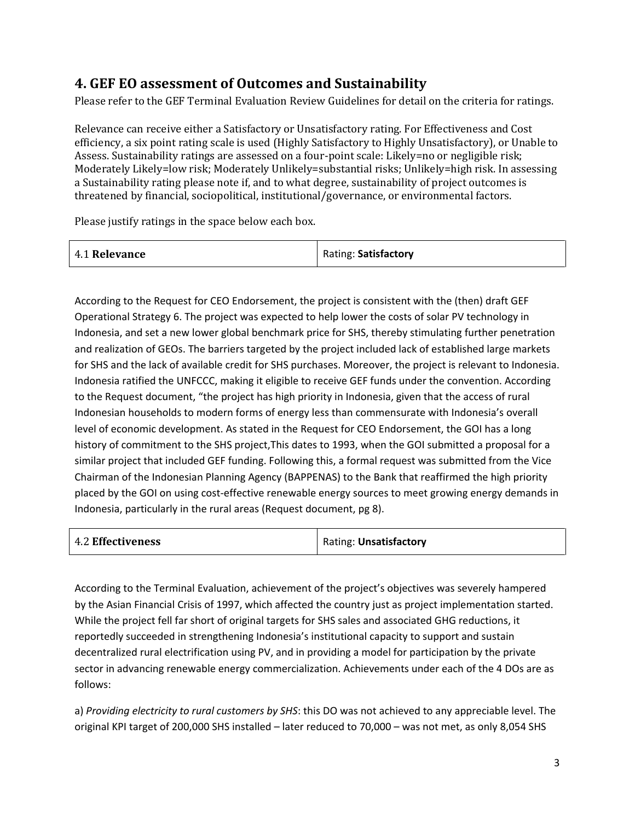## **4. GEF EO assessment of Outcomes and Sustainability**

Please refer to the GEF Terminal Evaluation Review Guidelines for detail on the criteria for ratings.

Relevance can receive either a Satisfactory or Unsatisfactory rating. For Effectiveness and Cost efficiency, a six point rating scale is used (Highly Satisfactory to Highly Unsatisfactory), or Unable to Assess. Sustainability ratings are assessed on a four-point scale: Likely=no or negligible risk; Moderately Likely=low risk; Moderately Unlikely=substantial risks; Unlikely=high risk. In assessing a Sustainability rating please note if, and to what degree, sustainability of project outcomes is threatened by financial, sociopolitical, institutional/governance, or environmental factors.

Please justify ratings in the space below each box.

| 4.1 Relevance | Rating: Satisfactory |
|---------------|----------------------|
|---------------|----------------------|

According to the Request for CEO Endorsement, the project is consistent with the (then) draft GEF Operational Strategy 6. The project was expected to help lower the costs of solar PV technology in Indonesia, and set a new lower global benchmark price for SHS, thereby stimulating further penetration and realization of GEOs. The barriers targeted by the project included lack of established large markets for SHS and the lack of available credit for SHS purchases. Moreover, the project is relevant to Indonesia. Indonesia ratified the UNFCCC, making it eligible to receive GEF funds under the convention. According to the Request document, "the project has high priority in Indonesia, given that the access of rural Indonesian households to modern forms of energy less than commensurate with Indonesia's overall level of economic development. As stated in the Request for CEO Endorsement, the GOI has a long history of commitment to the SHS project,This dates to 1993, when the GOI submitted a proposal for a similar project that included GEF funding. Following this, a formal request was submitted from the Vice Chairman of the Indonesian Planning Agency (BAPPENAS) to the Bank that reaffirmed the high priority placed by the GOI on using cost-effective renewable energy sources to meet growing energy demands in Indonesia, particularly in the rural areas (Request document, pg 8).

| <b>4.2 Effectiveness</b> | Rating: Unsatisfactory |  |
|--------------------------|------------------------|--|
|                          |                        |  |

According to the Terminal Evaluation, achievement of the project's objectives was severely hampered by the Asian Financial Crisis of 1997, which affected the country just as project implementation started. While the project fell far short of original targets for SHS sales and associated GHG reductions, it reportedly succeeded in strengthening Indonesia's institutional capacity to support and sustain decentralized rural electrification using PV, and in providing a model for participation by the private sector in advancing renewable energy commercialization. Achievements under each of the 4 DOs are as follows:

a) *Providing electricity to rural customers by SHS*: this DO was not achieved to any appreciable level. The original KPI target of 200,000 SHS installed – later reduced to 70,000 – was not met, as only 8,054 SHS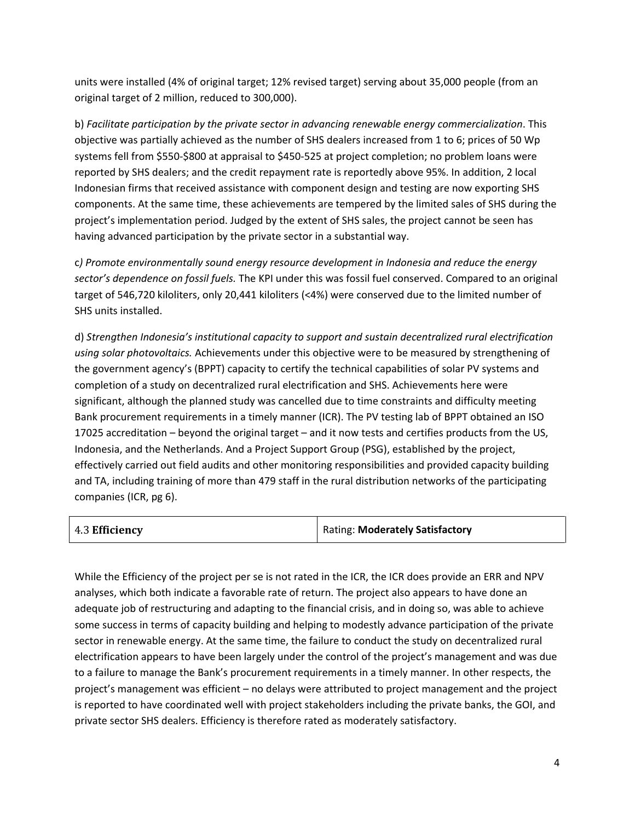units were installed (4% of original target; 12% revised target) serving about 35,000 people (from an original target of 2 million, reduced to 300,000).

b) *Facilitate participation by the private sector in advancing renewable energy commercialization*. This objective was partially achieved as the number of SHS dealers increased from 1 to 6; prices of 50 Wp systems fell from \$550-\$800 at appraisal to \$450-525 at project completion; no problem loans were reported by SHS dealers; and the credit repayment rate is reportedly above 95%. In addition, 2 local Indonesian firms that received assistance with component design and testing are now exporting SHS components. At the same time, these achievements are tempered by the limited sales of SHS during the project's implementation period. Judged by the extent of SHS sales, the project cannot be seen has having advanced participation by the private sector in a substantial way.

c*) Promote environmentally sound energy resource development in Indonesia and reduce the energy sector's dependence on fossil fuels.* The KPI under this was fossil fuel conserved. Compared to an original target of 546,720 kiloliters, only 20,441 kiloliters (<4%) were conserved due to the limited number of SHS units installed.

d) *Strengthen Indonesia's institutional capacity to support and sustain decentralized rural electrification using solar photovoltaics.* Achievements under this objective were to be measured by strengthening of the government agency's (BPPT) capacity to certify the technical capabilities of solar PV systems and completion of a study on decentralized rural electrification and SHS. Achievements here were significant, although the planned study was cancelled due to time constraints and difficulty meeting Bank procurement requirements in a timely manner (ICR). The PV testing lab of BPPT obtained an ISO 17025 accreditation – beyond the original target – and it now tests and certifies products from the US, Indonesia, and the Netherlands. And a Project Support Group (PSG), established by the project, effectively carried out field audits and other monitoring responsibilities and provided capacity building and TA, including training of more than 479 staff in the rural distribution networks of the participating companies (ICR, pg 6).

| Rating: Moderately Satisfactory |
|---------------------------------|
|                                 |

While the Efficiency of the project per se is not rated in the ICR, the ICR does provide an ERR and NPV analyses, which both indicate a favorable rate of return. The project also appears to have done an adequate job of restructuring and adapting to the financial crisis, and in doing so, was able to achieve some success in terms of capacity building and helping to modestly advance participation of the private sector in renewable energy. At the same time, the failure to conduct the study on decentralized rural electrification appears to have been largely under the control of the project's management and was due to a failure to manage the Bank's procurement requirements in a timely manner. In other respects, the project's management was efficient – no delays were attributed to project management and the project is reported to have coordinated well with project stakeholders including the private banks, the GOI, and private sector SHS dealers. Efficiency is therefore rated as moderately satisfactory.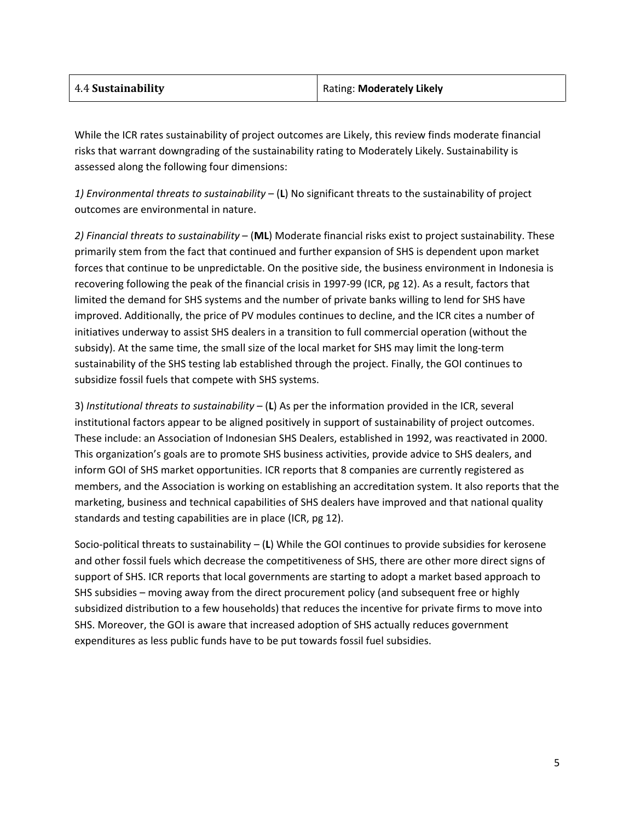| 4.4 Sustainability | Rating: Moderately Likely |
|--------------------|---------------------------|
|                    |                           |

While the ICR rates sustainability of project outcomes are Likely, this review finds moderate financial risks that warrant downgrading of the sustainability rating to Moderately Likely. Sustainability is assessed along the following four dimensions:

*1) Environmental threats to sustainability* – (**L**) No significant threats to the sustainability of project outcomes are environmental in nature.

*2) Financial threats to sustainability* – (**ML**) Moderate financial risks exist to project sustainability. These primarily stem from the fact that continued and further expansion of SHS is dependent upon market forces that continue to be unpredictable. On the positive side, the business environment in Indonesia is recovering following the peak of the financial crisis in 1997-99 (ICR, pg 12). As a result, factors that limited the demand for SHS systems and the number of private banks willing to lend for SHS have improved. Additionally, the price of PV modules continues to decline, and the ICR cites a number of initiatives underway to assist SHS dealers in a transition to full commercial operation (without the subsidy). At the same time, the small size of the local market for SHS may limit the long-term sustainability of the SHS testing lab established through the project. Finally, the GOI continues to subsidize fossil fuels that compete with SHS systems.

3) *Institutional threats to sustainability* – (**L**) As per the information provided in the ICR, several institutional factors appear to be aligned positively in support of sustainability of project outcomes. These include: an Association of Indonesian SHS Dealers, established in 1992, was reactivated in 2000. This organization's goals are to promote SHS business activities, provide advice to SHS dealers, and inform GOI of SHS market opportunities. ICR reports that 8 companies are currently registered as members, and the Association is working on establishing an accreditation system. It also reports that the marketing, business and technical capabilities of SHS dealers have improved and that national quality standards and testing capabilities are in place (ICR, pg 12).

Socio-political threats to sustainability – (**L**) While the GOI continues to provide subsidies for kerosene and other fossil fuels which decrease the competitiveness of SHS, there are other more direct signs of support of SHS. ICR reports that local governments are starting to adopt a market based approach to SHS subsidies – moving away from the direct procurement policy (and subsequent free or highly subsidized distribution to a few households) that reduces the incentive for private firms to move into SHS. Moreover, the GOI is aware that increased adoption of SHS actually reduces government expenditures as less public funds have to be put towards fossil fuel subsidies.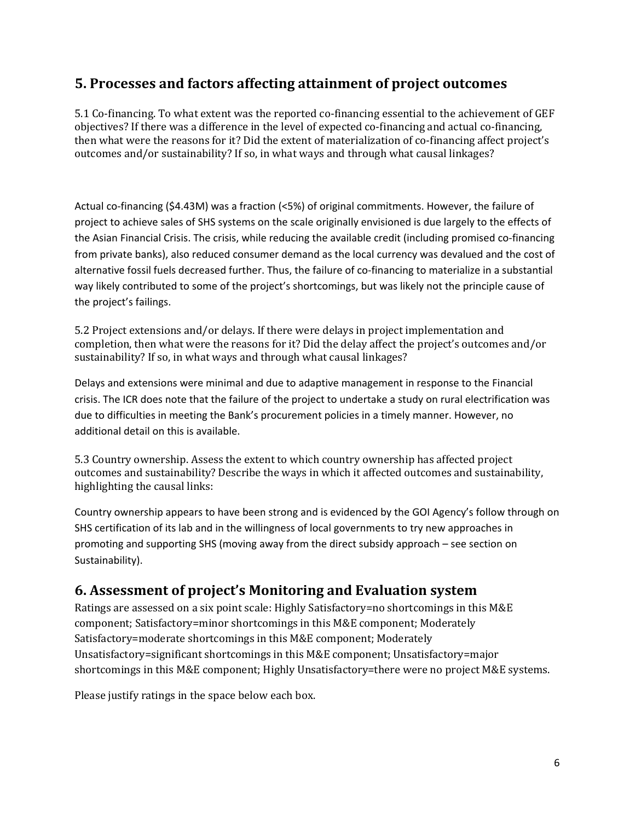### **5. Processes and factors affecting attainment of project outcomes**

5.1 Co-financing. To what extent was the reported co-financing essential to the achievement of GEF objectives? If there was a difference in the level of expected co-financing and actual co-financing, then what were the reasons for it? Did the extent of materialization of co-financing affect project's outcomes and/or sustainability? If so, in what ways and through what causal linkages?

Actual co-financing (\$4.43M) was a fraction (<5%) of original commitments. However, the failure of project to achieve sales of SHS systems on the scale originally envisioned is due largely to the effects of the Asian Financial Crisis. The crisis, while reducing the available credit (including promised co-financing from private banks), also reduced consumer demand as the local currency was devalued and the cost of alternative fossil fuels decreased further. Thus, the failure of co-financing to materialize in a substantial way likely contributed to some of the project's shortcomings, but was likely not the principle cause of the project's failings.

5.2 Project extensions and/or delays. If there were delays in project implementation and completion, then what were the reasons for it? Did the delay affect the project's outcomes and/or sustainability? If so, in what ways and through what causal linkages?

Delays and extensions were minimal and due to adaptive management in response to the Financial crisis. The ICR does note that the failure of the project to undertake a study on rural electrification was due to difficulties in meeting the Bank's procurement policies in a timely manner. However, no additional detail on this is available.

5.3 Country ownership. Assess the extent to which country ownership has affected project outcomes and sustainability? Describe the ways in which it affected outcomes and sustainability, highlighting the causal links:

Country ownership appears to have been strong and is evidenced by the GOI Agency's follow through on SHS certification of its lab and in the willingness of local governments to try new approaches in promoting and supporting SHS (moving away from the direct subsidy approach – see section on Sustainability).

#### **6. Assessment of project's Monitoring and Evaluation system**

Ratings are assessed on a six point scale: Highly Satisfactory=no shortcomings in this M&E component; Satisfactory=minor shortcomings in this M&E component; Moderately Satisfactory=moderate shortcomings in this M&E component; Moderately Unsatisfactory=significant shortcomings in this M&E component; Unsatisfactory=major shortcomings in this M&E component; Highly Unsatisfactory=there were no project M&E systems.

Please justify ratings in the space below each box.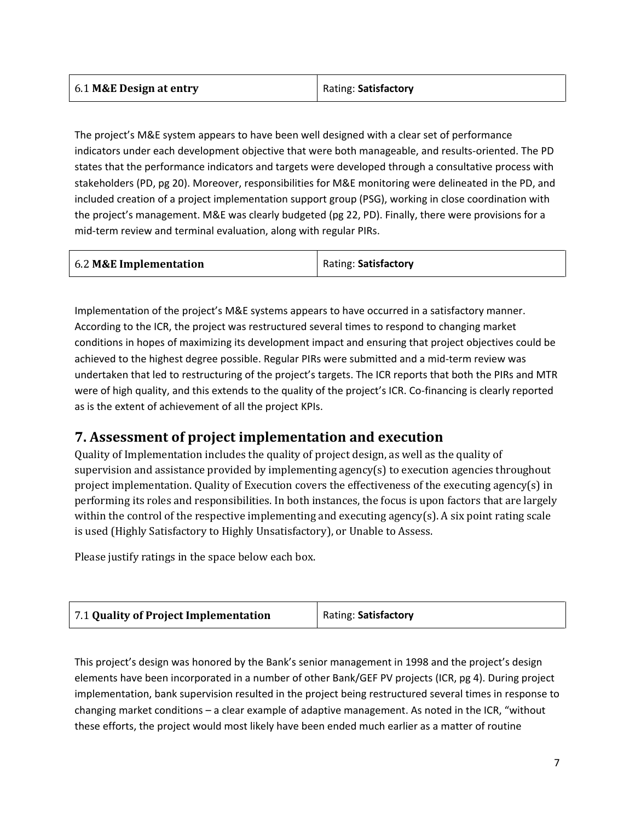| 6.1 M&E Design at entry | Rating: Satisfactory |
|-------------------------|----------------------|
|                         |                      |

The project's M&E system appears to have been well designed with a clear set of performance indicators under each development objective that were both manageable, and results-oriented. The PD states that the performance indicators and targets were developed through a consultative process with stakeholders (PD, pg 20). Moreover, responsibilities for M&E monitoring were delineated in the PD, and included creation of a project implementation support group (PSG), working in close coordination with the project's management. M&E was clearly budgeted (pg 22, PD). Finally, there were provisions for a mid-term review and terminal evaluation, along with regular PIRs.

| 6.2 M&E Implementation | Rating: Satisfactory |
|------------------------|----------------------|
|------------------------|----------------------|

Implementation of the project's M&E systems appears to have occurred in a satisfactory manner. According to the ICR, the project was restructured several times to respond to changing market conditions in hopes of maximizing its development impact and ensuring that project objectives could be achieved to the highest degree possible. Regular PIRs were submitted and a mid-term review was undertaken that led to restructuring of the project's targets. The ICR reports that both the PIRs and MTR were of high quality, and this extends to the quality of the project's ICR. Co-financing is clearly reported as is the extent of achievement of all the project KPIs.

### **7. Assessment of project implementation and execution**

Quality of Implementation includes the quality of project design, as well as the quality of supervision and assistance provided by implementing agency(s) to execution agencies throughout project implementation. Quality of Execution covers the effectiveness of the executing agency(s) in performing its roles and responsibilities. In both instances, the focus is upon factors that are largely within the control of the respective implementing and executing agency(s). A six point rating scale is used (Highly Satisfactory to Highly Unsatisfactory), or Unable to Assess.

Please justify ratings in the space below each box.

| 7.1 Quality of Project Implementation | Rating: Satisfactory |
|---------------------------------------|----------------------|
|---------------------------------------|----------------------|

This project's design was honored by the Bank's senior management in 1998 and the project's design elements have been incorporated in a number of other Bank/GEF PV projects (ICR, pg 4). During project implementation, bank supervision resulted in the project being restructured several times in response to changing market conditions – a clear example of adaptive management. As noted in the ICR, "without these efforts, the project would most likely have been ended much earlier as a matter of routine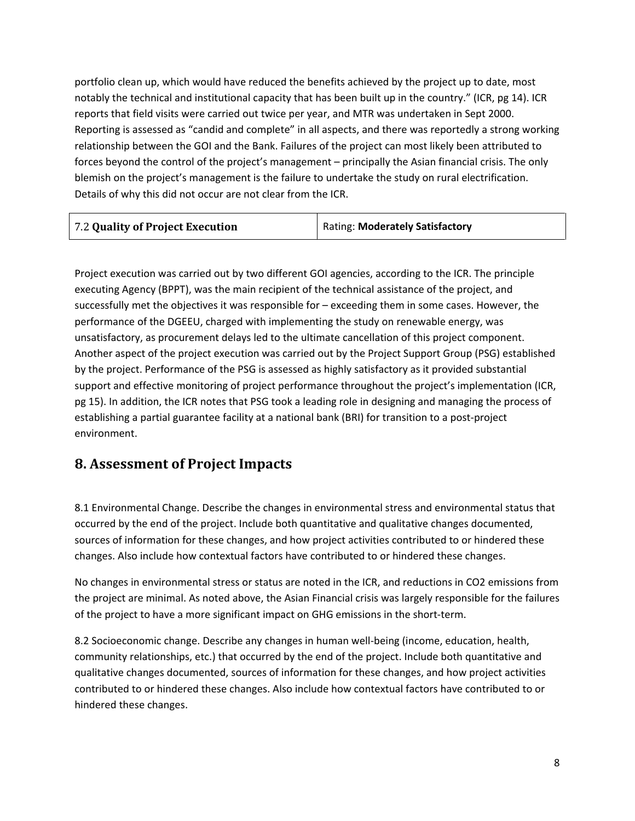portfolio clean up, which would have reduced the benefits achieved by the project up to date, most notably the technical and institutional capacity that has been built up in the country." (ICR, pg 14). ICR reports that field visits were carried out twice per year, and MTR was undertaken in Sept 2000. Reporting is assessed as "candid and complete" in all aspects, and there was reportedly a strong working relationship between the GOI and the Bank. Failures of the project can most likely been attributed to forces beyond the control of the project's management – principally the Asian financial crisis. The only blemish on the project's management is the failure to undertake the study on rural electrification. Details of why this did not occur are not clear from the ICR.

| 7.2 Quality of Project Execution | <b>Rating: Moderately Satisfactory</b> |
|----------------------------------|----------------------------------------|
|----------------------------------|----------------------------------------|

Project execution was carried out by two different GOI agencies, according to the ICR. The principle executing Agency (BPPT), was the main recipient of the technical assistance of the project, and successfully met the objectives it was responsible for – exceeding them in some cases. However, the performance of the DGEEU, charged with implementing the study on renewable energy, was unsatisfactory, as procurement delays led to the ultimate cancellation of this project component. Another aspect of the project execution was carried out by the Project Support Group (PSG) established by the project. Performance of the PSG is assessed as highly satisfactory as it provided substantial support and effective monitoring of project performance throughout the project's implementation (ICR, pg 15). In addition, the ICR notes that PSG took a leading role in designing and managing the process of establishing a partial guarantee facility at a national bank (BRI) for transition to a post-project environment.

#### **8. Assessment of Project Impacts**

8.1 Environmental Change. Describe the changes in environmental stress and environmental status that occurred by the end of the project. Include both quantitative and qualitative changes documented, sources of information for these changes, and how project activities contributed to or hindered these changes. Also include how contextual factors have contributed to or hindered these changes.

No changes in environmental stress or status are noted in the ICR, and reductions in CO2 emissions from the project are minimal. As noted above, the Asian Financial crisis was largely responsible for the failures of the project to have a more significant impact on GHG emissions in the short-term.

8.2 Socioeconomic change. Describe any changes in human well-being (income, education, health, community relationships, etc.) that occurred by the end of the project. Include both quantitative and qualitative changes documented, sources of information for these changes, and how project activities contributed to or hindered these changes. Also include how contextual factors have contributed to or hindered these changes.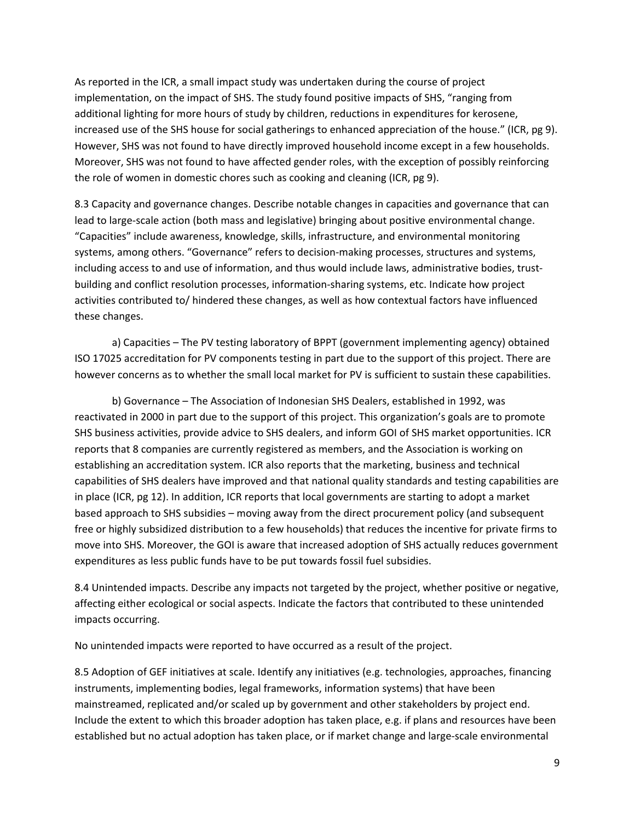As reported in the ICR, a small impact study was undertaken during the course of project implementation, on the impact of SHS. The study found positive impacts of SHS, "ranging from additional lighting for more hours of study by children, reductions in expenditures for kerosene, increased use of the SHS house for social gatherings to enhanced appreciation of the house." (ICR, pg 9). However, SHS was not found to have directly improved household income except in a few households. Moreover, SHS was not found to have affected gender roles, with the exception of possibly reinforcing the role of women in domestic chores such as cooking and cleaning (ICR, pg 9).

8.3 Capacity and governance changes. Describe notable changes in capacities and governance that can lead to large-scale action (both mass and legislative) bringing about positive environmental change. "Capacities" include awareness, knowledge, skills, infrastructure, and environmental monitoring systems, among others. "Governance" refers to decision-making processes, structures and systems, including access to and use of information, and thus would include laws, administrative bodies, trustbuilding and conflict resolution processes, information-sharing systems, etc. Indicate how project activities contributed to/ hindered these changes, as well as how contextual factors have influenced these changes.

a) Capacities – The PV testing laboratory of BPPT (government implementing agency) obtained ISO 17025 accreditation for PV components testing in part due to the support of this project. There are however concerns as to whether the small local market for PV is sufficient to sustain these capabilities.

b) Governance – The Association of Indonesian SHS Dealers, established in 1992, was reactivated in 2000 in part due to the support of this project. This organization's goals are to promote SHS business activities, provide advice to SHS dealers, and inform GOI of SHS market opportunities. ICR reports that 8 companies are currently registered as members, and the Association is working on establishing an accreditation system. ICR also reports that the marketing, business and technical capabilities of SHS dealers have improved and that national quality standards and testing capabilities are in place (ICR, pg 12). In addition, ICR reports that local governments are starting to adopt a market based approach to SHS subsidies – moving away from the direct procurement policy (and subsequent free or highly subsidized distribution to a few households) that reduces the incentive for private firms to move into SHS. Moreover, the GOI is aware that increased adoption of SHS actually reduces government expenditures as less public funds have to be put towards fossil fuel subsidies.

8.4 Unintended impacts. Describe any impacts not targeted by the project, whether positive or negative, affecting either ecological or social aspects. Indicate the factors that contributed to these unintended impacts occurring.

No unintended impacts were reported to have occurred as a result of the project.

8.5 Adoption of GEF initiatives at scale. Identify any initiatives (e.g. technologies, approaches, financing instruments, implementing bodies, legal frameworks, information systems) that have been mainstreamed, replicated and/or scaled up by government and other stakeholders by project end. Include the extent to which this broader adoption has taken place, e.g. if plans and resources have been established but no actual adoption has taken place, or if market change and large-scale environmental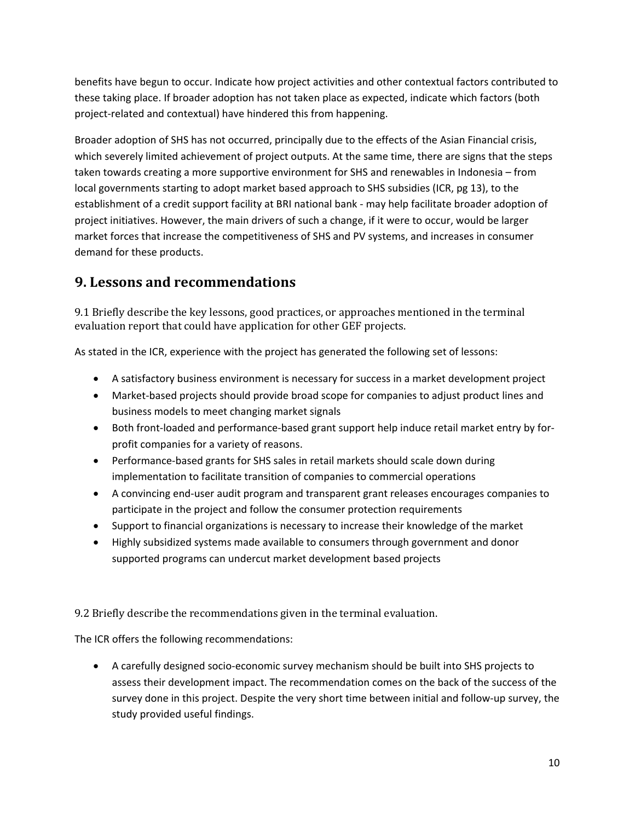benefits have begun to occur. Indicate how project activities and other contextual factors contributed to these taking place. If broader adoption has not taken place as expected, indicate which factors (both project-related and contextual) have hindered this from happening.

Broader adoption of SHS has not occurred, principally due to the effects of the Asian Financial crisis, which severely limited achievement of project outputs. At the same time, there are signs that the steps taken towards creating a more supportive environment for SHS and renewables in Indonesia – from local governments starting to adopt market based approach to SHS subsidies (ICR, pg 13), to the establishment of a credit support facility at BRI national bank - may help facilitate broader adoption of project initiatives. However, the main drivers of such a change, if it were to occur, would be larger market forces that increase the competitiveness of SHS and PV systems, and increases in consumer demand for these products.

## **9. Lessons and recommendations**

9.1 Briefly describe the key lessons, good practices, or approaches mentioned in the terminal evaluation report that could have application for other GEF projects.

As stated in the ICR, experience with the project has generated the following set of lessons:

- A satisfactory business environment is necessary for success in a market development project
- Market-based projects should provide broad scope for companies to adjust product lines and business models to meet changing market signals
- Both front-loaded and performance-based grant support help induce retail market entry by forprofit companies for a variety of reasons.
- Performance-based grants for SHS sales in retail markets should scale down during implementation to facilitate transition of companies to commercial operations
- A convincing end-user audit program and transparent grant releases encourages companies to participate in the project and follow the consumer protection requirements
- Support to financial organizations is necessary to increase their knowledge of the market
- Highly subsidized systems made available to consumers through government and donor supported programs can undercut market development based projects

9.2 Briefly describe the recommendations given in the terminal evaluation.

The ICR offers the following recommendations:

• A carefully designed socio-economic survey mechanism should be built into SHS projects to assess their development impact. The recommendation comes on the back of the success of the survey done in this project. Despite the very short time between initial and follow-up survey, the study provided useful findings.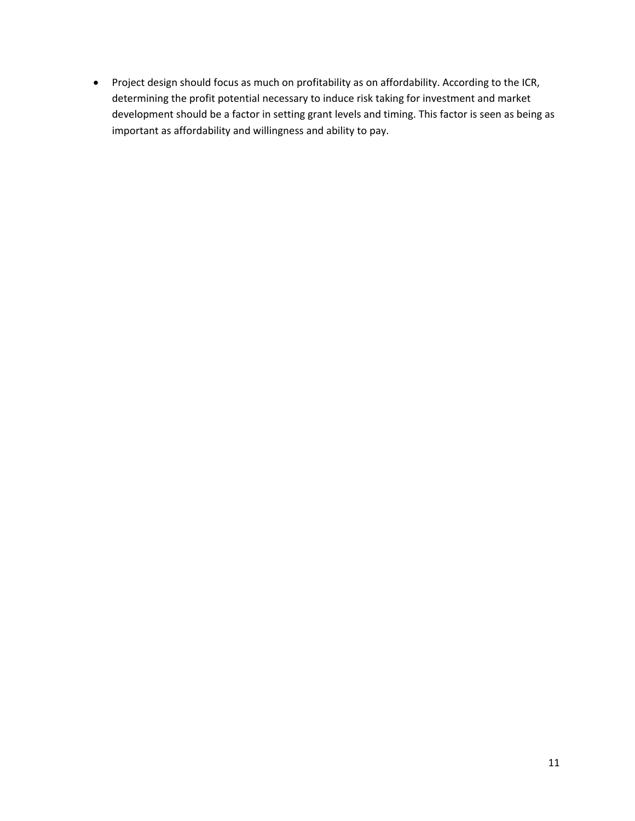• Project design should focus as much on profitability as on affordability. According to the ICR, determining the profit potential necessary to induce risk taking for investment and market development should be a factor in setting grant levels and timing. This factor is seen as being as important as affordability and willingness and ability to pay.